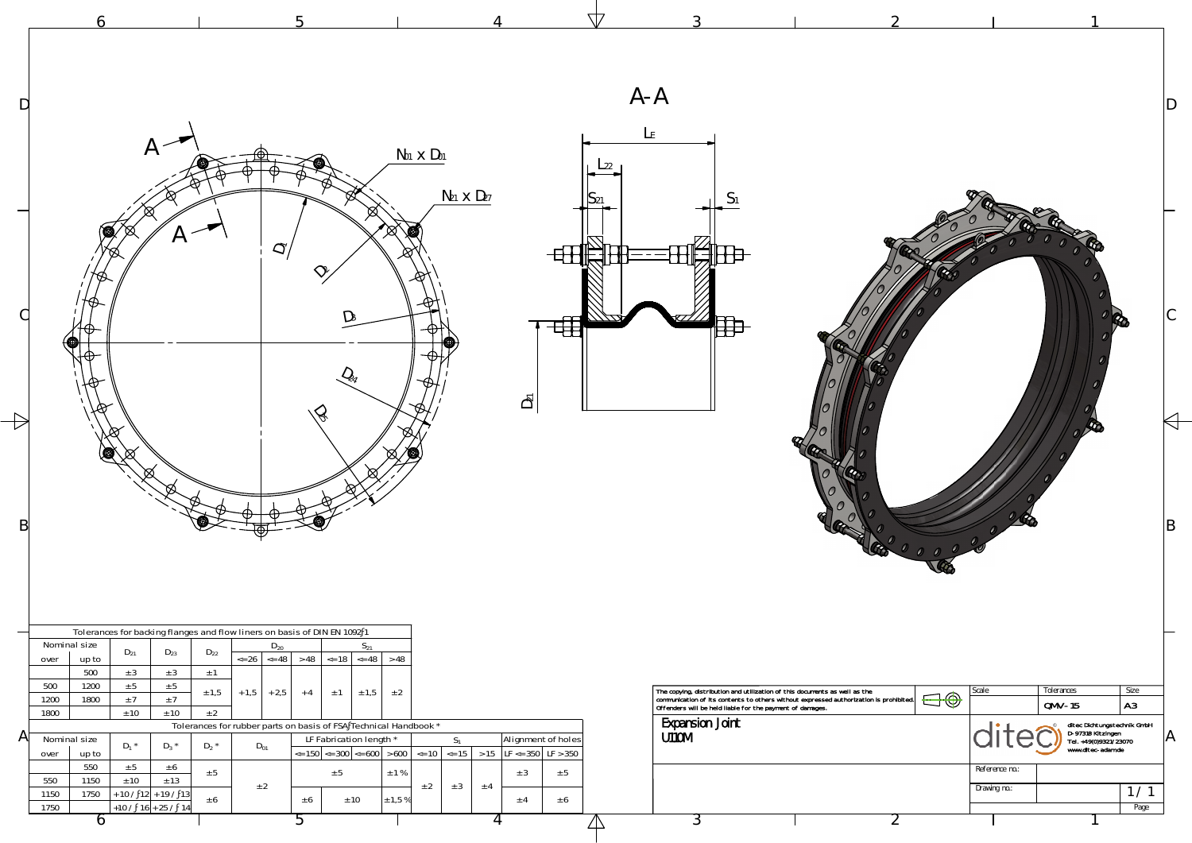

| D<br>D | $A \setminus$<br>$\bigotimes\limits_{\mathbb{Z}}$                                                                                                                                                                                                                                                                                                                                                                                                                                                            | ○                                                                                                                                                                                                                                                                                                                                | $N01$ $\times$ $D01$<br>$N_{21}$ $\times$ $D_{27}$<br>$\boxtimes$<br>⁄ (⊠)                                                                               | च्ह<br>$\overline{D}$                          | $A - A$                                                                                                                                                                                                                                                              | 60000                 | Ð                                                                                                                                                                                                |
|--------|--------------------------------------------------------------------------------------------------------------------------------------------------------------------------------------------------------------------------------------------------------------------------------------------------------------------------------------------------------------------------------------------------------------------------------------------------------------------------------------------------------------|----------------------------------------------------------------------------------------------------------------------------------------------------------------------------------------------------------------------------------------------------------------------------------------------------------------------------------|----------------------------------------------------------------------------------------------------------------------------------------------------------|------------------------------------------------|----------------------------------------------------------------------------------------------------------------------------------------------------------------------------------------------------------------------------------------------------------------------|-----------------------|--------------------------------------------------------------------------------------------------------------------------------------------------------------------------------------------------|
| Αľ     | Tolerances for backing flanges and flow liners on basis of DIN EN 1092 1<br>Nominal size<br>$D_{21}$<br>$D_{22}$<br>$D_{23}$<br>up to<br>over<br>500<br>± 3<br>± 3<br>$\pm$ 1<br>500<br>1200<br>± 5<br>± 5<br>± 1,5<br>1200<br>1800<br>$\pm$ 7<br>±7<br>± 2<br>± 10<br>1800<br>± 10<br>Nominal size<br>$D_1$ *<br>$D_3$ *<br>$D_2$ *<br>up to<br>over<br>550<br>± 5<br>± 6<br>± 5<br>± 13<br>550<br>1150<br>± 10<br>$+ 10 / 12 + 19 / 13$<br>1750<br>1150<br>± 6<br>$+10 / 16 + 25 / 14$<br>1750<br>$\sigma$ | $D_{20}$<br>$S_{21}$<br>$\leq$ 26 $\leq$ 48<br>$> 48$ <= 18 <= 48<br>$+1,5$ + 2,5<br>$\pm 1.5$<br>$\pm$ 1<br>$+4$<br>Tolerances for rubber parts on basis of FSA Technical Handbook *<br>LF Fabrication length *<br>$D_{01}$<br>$\left  \epsilon = 150 \right  \le 300 \le 600 \le 600$<br>± 5<br>± 2<br>± 10<br>± 6<br>$\Omega$ | >48<br>± 2<br>$S_1$<br>$\le$ = 10 $\le$ = 15 $\ge$ 15 $\left $ LF $\le$ = 350 $\right $ LF $>$ 350<br>$\pm$ 1 %<br>± 2<br>± 3<br>± 4<br>$\pm$ 1,5 %<br>4 | Alignment of holes<br>± 5<br>± 3<br>± 6<br>± 4 | The copying, distribution and utilization of this documents as well as the communication of its contents to others without expressed authorization is prohibited. Offenders will be held liable for the payment of damages.<br><b>Expansion Joint</b><br>U110M<br>٠. | $\bigoplus \bigoplus$ | Tolerances<br>Size<br>Scale<br>A3<br>$QMV-15$<br>ditec Dichtungstechnik GmbH<br>D-97318 Kitzingen<br>Tel. +49(0)9321/23070<br>www.ditec-adam.de<br>Reference no.:<br>Drawing no.:<br>1/1<br>Page |